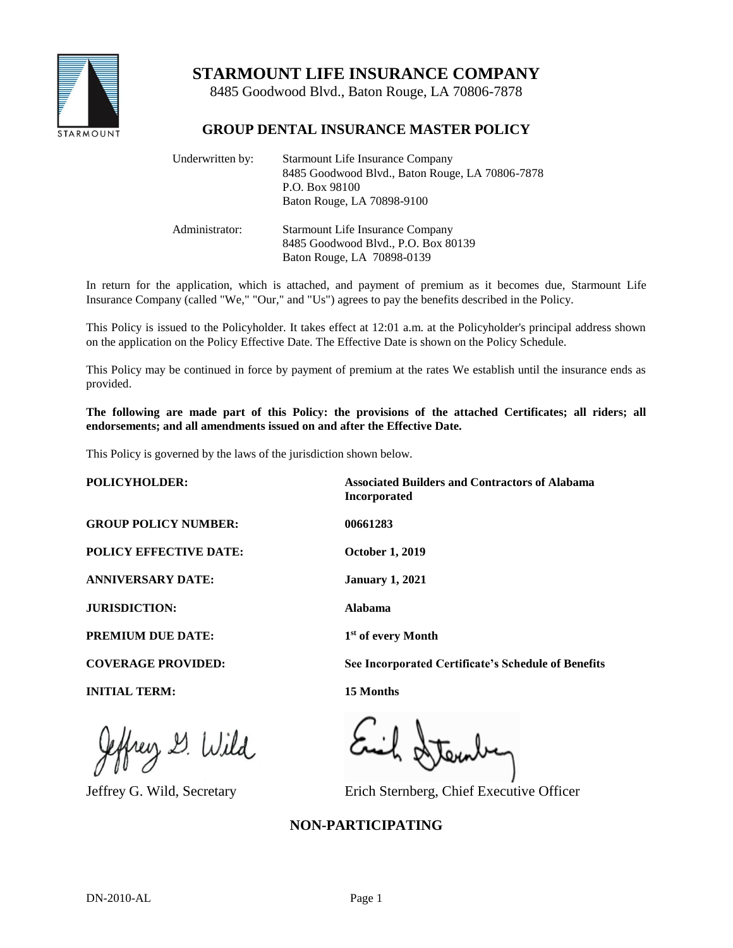

# **STARMOUNT LIFE INSURANCE COMPANY**

8485 Goodwood Blvd., Baton Rouge, LA 70806-7878

## **GROUP DENTAL INSURANCE MASTER POLICY**

| Underwritten by: | <b>Starmount Life Insurance Company</b><br>8485 Goodwood Blvd., Baton Rouge, LA 70806-7878<br>P.O. Box 98100<br>Baton Rouge, LA 70898-9100 |
|------------------|--------------------------------------------------------------------------------------------------------------------------------------------|
| Administrator:   | <b>Starmount Life Insurance Company</b><br>8485 Goodwood Blvd., P.O. Box 80139<br>Baton Rouge, LA 70898-0139                               |

In return for the application, which is attached, and payment of premium as it becomes due, Starmount Life Insurance Company (called "We," "Our," and "Us") agrees to pay the benefits described in the Policy.

This Policy is issued to the Policyholder. It takes effect at 12:01 a.m. at the Policyholder's principal address shown on the application on the Policy Effective Date. The Effective Date is shown on the Policy Schedule.

This Policy may be continued in force by payment of premium at the rates We establish until the insurance ends as provided.

**The following are made part of this Policy: the provisions of the attached Certificates; all riders; all endorsements; and all amendments issued on and after the Effective Date.**

This Policy is governed by the laws of the jurisdiction shown below.

**POLICYHOLDER: Associated Builders and Contractors of Alabama Incorporated GROUP POLICY NUMBER: 00661283 POLICY EFFECTIVE DATE: October 1, 2019 ANNIVERSARY DATE: January 1, 2021 JURISDICTION: Alabama PREMIUM DUE DATE: 1 st of every Month COVERAGE PROVIDED: See Incorporated Certificate's Schedule of Benefits INITIAL TERM: 15 Months**

frey 2. Wild

Jeffrey G. Wild, Secretary Erich Sternberg, Chief Executive Officer

# **NON-PARTICIPATING**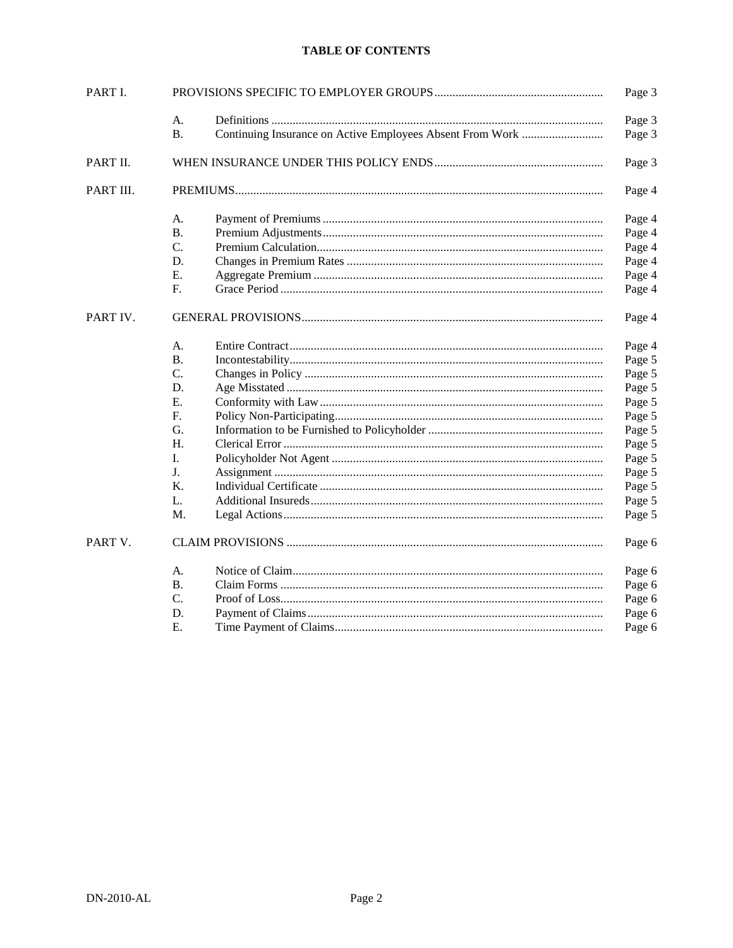### **TABLE OF CONTENTS**

| PART I.   |           |                                                           | Page 3 |
|-----------|-----------|-----------------------------------------------------------|--------|
|           | А.        |                                                           | Page 3 |
|           | <b>B.</b> | Continuing Insurance on Active Employees Absent From Work | Page 3 |
| PART II.  |           | Page 3                                                    |        |
| PART III. |           |                                                           | Page 4 |
|           | А.        |                                                           | Page 4 |
|           | Β.        |                                                           | Page 4 |
|           | C.        |                                                           | Page 4 |
|           | D.        |                                                           | Page 4 |
|           | Ε.        |                                                           | Page 4 |
|           | F.        |                                                           | Page 4 |
| PART IV.  |           |                                                           | Page 4 |
|           | А.        |                                                           | Page 4 |
|           | <b>B.</b> |                                                           | Page 5 |
|           | C.        |                                                           | Page 5 |
|           | D.        |                                                           | Page 5 |
|           | Ε.        |                                                           | Page 5 |
|           | F.        |                                                           | Page 5 |
|           | G.        |                                                           | Page 5 |
|           | Н.        |                                                           | Page 5 |
|           | Ι.        |                                                           | Page 5 |
|           | J.        |                                                           | Page 5 |
|           | K.        |                                                           | Page 5 |
|           | L.        |                                                           | Page 5 |
|           | M.        |                                                           | Page 5 |
| PART V.   |           |                                                           | Page 6 |
|           | А.        |                                                           | Page 6 |
|           | <b>B.</b> |                                                           | Page 6 |
|           | C.        |                                                           | Page 6 |
|           | D.        |                                                           | Page 6 |
|           | Е.        |                                                           | Page 6 |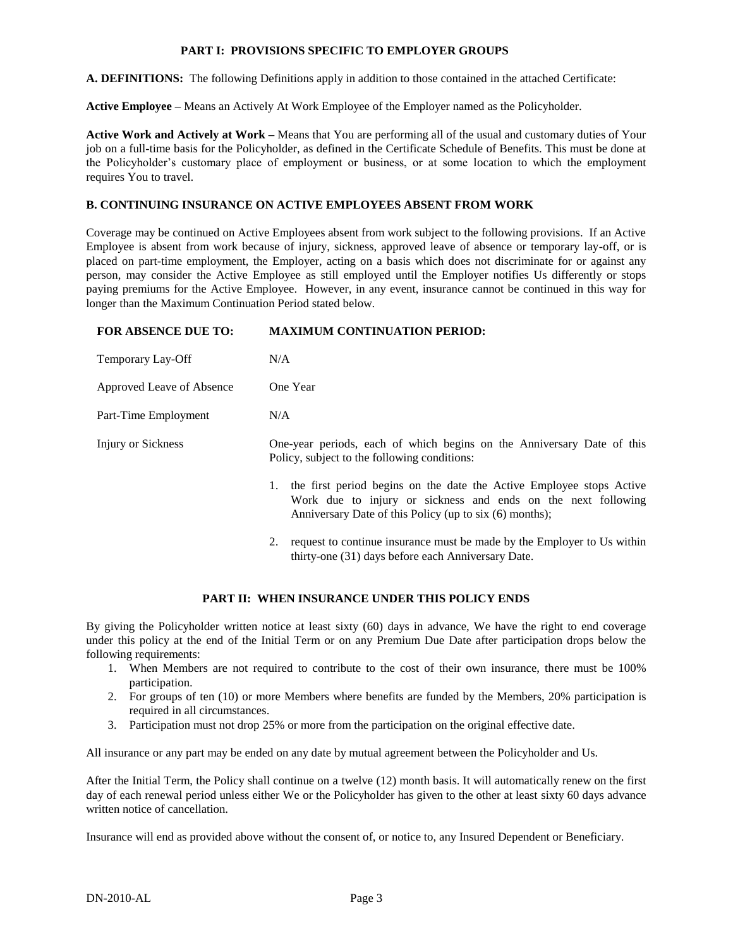#### **PART I: PROVISIONS SPECIFIC TO EMPLOYER GROUPS**

**A. DEFINITIONS:** The following Definitions apply in addition to those contained in the attached Certificate:

**Active Employee –** Means an Actively At Work Employee of the Employer named as the Policyholder.

**Active Work and Actively at Work –** Means that You are performing all of the usual and customary duties of Your job on a full-time basis for the Policyholder, as defined in the Certificate Schedule of Benefits. This must be done at the Policyholder's customary place of employment or business, or at some location to which the employment requires You to travel.

### **B. CONTINUING INSURANCE ON ACTIVE EMPLOYEES ABSENT FROM WORK**

Coverage may be continued on Active Employees absent from work subject to the following provisions. If an Active Employee is absent from work because of injury, sickness, approved leave of absence or temporary lay-off, or is placed on part-time employment, the Employer, acting on a basis which does not discriminate for or against any person, may consider the Active Employee as still employed until the Employer notifies Us differently or stops paying premiums for the Active Employee. However, in any event, insurance cannot be continued in this way for longer than the Maximum Continuation Period stated below.

#### **FOR ABSENCE DUE TO: MAXIMUM CONTINUATION PERIOD:**

| Temporary Lay-Off         | N/A                                                                                                                                                                                                    |
|---------------------------|--------------------------------------------------------------------------------------------------------------------------------------------------------------------------------------------------------|
| Approved Leave of Absence | One Year                                                                                                                                                                                               |
| Part-Time Employment      | N/A                                                                                                                                                                                                    |
| Injury or Sickness        | One-year periods, each of which begins on the Anniversary Date of this<br>Policy, subject to the following conditions:                                                                                 |
|                           | the first period begins on the date the Active Employee stops Active<br>1.<br>Work due to injury or sickness and ends on the next following<br>Anniversary Date of this Policy (up to six (6) months); |
|                           | request to continue insurance must be made by the Employer to Us within<br>2.<br>thirty-one (31) days before each Anniversary Date.                                                                    |

#### **PART II: WHEN INSURANCE UNDER THIS POLICY ENDS**

By giving the Policyholder written notice at least sixty (60) days in advance, We have the right to end coverage under this policy at the end of the Initial Term or on any Premium Due Date after participation drops below the following requirements:

- 1. When Members are not required to contribute to the cost of their own insurance, there must be 100% participation.
- 2. For groups of ten (10) or more Members where benefits are funded by the Members, 20% participation is required in all circumstances.
- 3. Participation must not drop 25% or more from the participation on the original effective date.

All insurance or any part may be ended on any date by mutual agreement between the Policyholder and Us.

After the Initial Term, the Policy shall continue on a twelve (12) month basis. It will automatically renew on the first day of each renewal period unless either We or the Policyholder has given to the other at least sixty 60 days advance written notice of cancellation.

Insurance will end as provided above without the consent of, or notice to, any Insured Dependent or Beneficiary.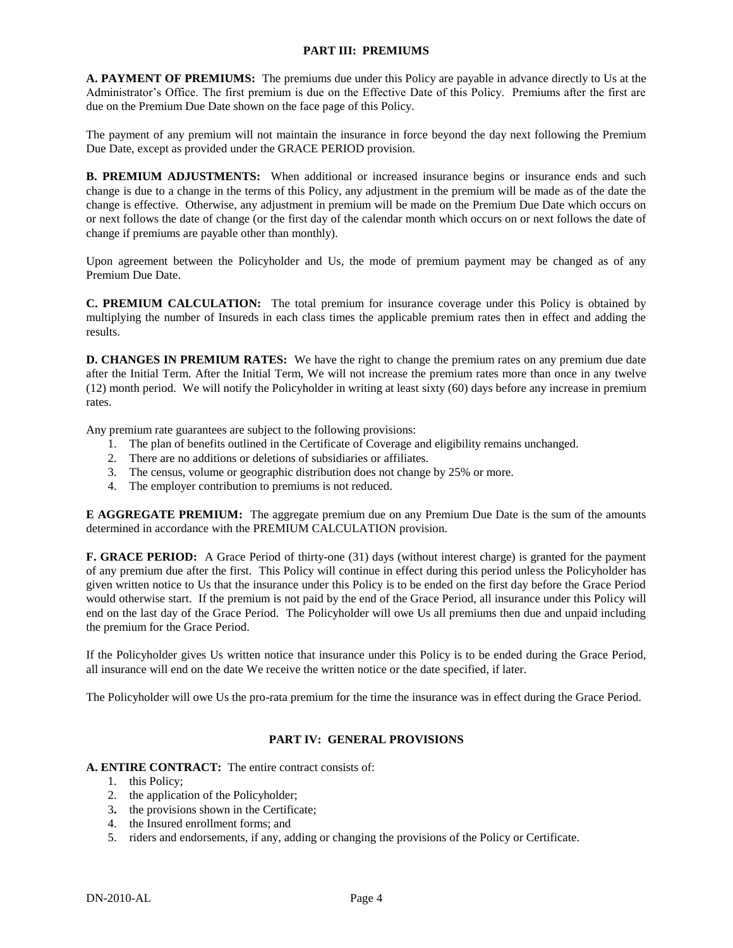#### **PART III: PREMIUMS**

**A. PAYMENT OF PREMIUMS:** The premiums due under this Policy are payable in advance directly to Us at the Administrator's Office. The first premium is due on the Effective Date of this Policy. Premiums after the first are due on the Premium Due Date shown on the face page of this Policy.

The payment of any premium will not maintain the insurance in force beyond the day next following the Premium Due Date, except as provided under the GRACE PERIOD provision.

**B. PREMIUM ADJUSTMENTS:** When additional or increased insurance begins or insurance ends and such change is due to a change in the terms of this Policy, any adjustment in the premium will be made as of the date the change is effective. Otherwise, any adjustment in premium will be made on the Premium Due Date which occurs on or next follows the date of change (or the first day of the calendar month which occurs on or next follows the date of change if premiums are payable other than monthly).

Upon agreement between the Policyholder and Us, the mode of premium payment may be changed as of any Premium Due Date.

**C. PREMIUM CALCULATION:** The total premium for insurance coverage under this Policy is obtained by multiplying the number of Insureds in each class times the applicable premium rates then in effect and adding the results.

**D. CHANGES IN PREMIUM RATES:** We have the right to change the premium rates on any premium due date after the Initial Term. After the Initial Term, We will not increase the premium rates more than once in any twelve (12) month period. We will notify the Policyholder in writing at least sixty (60) days before any increase in premium rates.

Any premium rate guarantees are subject to the following provisions:

- 1. The plan of benefits outlined in the Certificate of Coverage and eligibility remains unchanged.
- 2. There are no additions or deletions of subsidiaries or affiliates.
- 3. The census, volume or geographic distribution does not change by 25% or more.
- 4. The employer contribution to premiums is not reduced.

**E AGGREGATE PREMIUM:** The aggregate premium due on any Premium Due Date is the sum of the amounts determined in accordance with the PREMIUM CALCULATION provision.

**F. GRACE PERIOD:** A Grace Period of thirty-one (31) days (without interest charge) is granted for the payment of any premium due after the first. This Policy will continue in effect during this period unless the Policyholder has given written notice to Us that the insurance under this Policy is to be ended on the first day before the Grace Period would otherwise start. If the premium is not paid by the end of the Grace Period, all insurance under this Policy will end on the last day of the Grace Period. The Policyholder will owe Us all premiums then due and unpaid including the premium for the Grace Period.

If the Policyholder gives Us written notice that insurance under this Policy is to be ended during the Grace Period, all insurance will end on the date We receive the written notice or the date specified, if later.

The Policyholder will owe Us the pro-rata premium for the time the insurance was in effect during the Grace Period.

### **PART IV: GENERAL PROVISIONS**

#### **A. ENTIRE CONTRACT:** The entire contract consists of:

- 1. this Policy;
- 2. the application of the Policyholder;
- 3**.** the provisions shown in the Certificate;
- 4. the Insured enrollment forms; and
- 5. riders and endorsements, if any, adding or changing the provisions of the Policy or Certificate.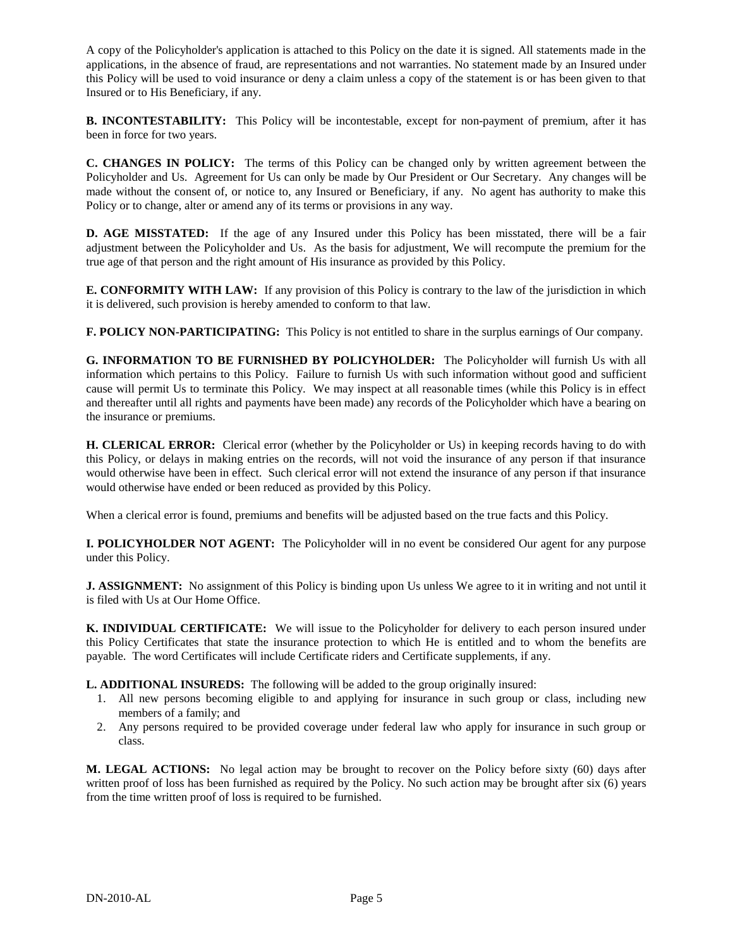A copy of the Policyholder's application is attached to this Policy on the date it is signed. All statements made in the applications, in the absence of fraud, are representations and not warranties. No statement made by an Insured under this Policy will be used to void insurance or deny a claim unless a copy of the statement is or has been given to that Insured or to His Beneficiary, if any.

**B. INCONTESTABILITY:** This Policy will be incontestable, except for non-payment of premium, after it has been in force for two years.

**C. CHANGES IN POLICY:** The terms of this Policy can be changed only by written agreement between the Policyholder and Us. Agreement for Us can only be made by Our President or Our Secretary. Any changes will be made without the consent of, or notice to, any Insured or Beneficiary, if any. No agent has authority to make this Policy or to change, alter or amend any of its terms or provisions in any way.

**D. AGE MISSTATED:** If the age of any Insured under this Policy has been misstated, there will be a fair adjustment between the Policyholder and Us. As the basis for adjustment, We will recompute the premium for the true age of that person and the right amount of His insurance as provided by this Policy.

**E. CONFORMITY WITH LAW:** If any provision of this Policy is contrary to the law of the jurisdiction in which it is delivered, such provision is hereby amended to conform to that law.

**F. POLICY NON-PARTICIPATING:** This Policy is not entitled to share in the surplus earnings of Our company.

**G. INFORMATION TO BE FURNISHED BY POLICYHOLDER:** The Policyholder will furnish Us with all information which pertains to this Policy. Failure to furnish Us with such information without good and sufficient cause will permit Us to terminate this Policy. We may inspect at all reasonable times (while this Policy is in effect and thereafter until all rights and payments have been made) any records of the Policyholder which have a bearing on the insurance or premiums.

**H. CLERICAL ERROR:** Clerical error (whether by the Policyholder or Us) in keeping records having to do with this Policy, or delays in making entries on the records, will not void the insurance of any person if that insurance would otherwise have been in effect. Such clerical error will not extend the insurance of any person if that insurance would otherwise have ended or been reduced as provided by this Policy.

When a clerical error is found, premiums and benefits will be adjusted based on the true facts and this Policy.

**I. POLICYHOLDER NOT AGENT:** The Policyholder will in no event be considered Our agent for any purpose under this Policy.

**J. ASSIGNMENT:** No assignment of this Policy is binding upon Us unless We agree to it in writing and not until it is filed with Us at Our Home Office.

**K. INDIVIDUAL CERTIFICATE:** We will issue to the Policyholder for delivery to each person insured under this Policy Certificates that state the insurance protection to which He is entitled and to whom the benefits are payable. The word Certificates will include Certificate riders and Certificate supplements, if any.

**L. ADDITIONAL INSUREDS:** The following will be added to the group originally insured:

- 1. All new persons becoming eligible to and applying for insurance in such group or class, including new members of a family; and
- 2. Any persons required to be provided coverage under federal law who apply for insurance in such group or class.

**M. LEGAL ACTIONS:** No legal action may be brought to recover on the Policy before sixty (60) days after written proof of loss has been furnished as required by the Policy. No such action may be brought after six (6) years from the time written proof of loss is required to be furnished.